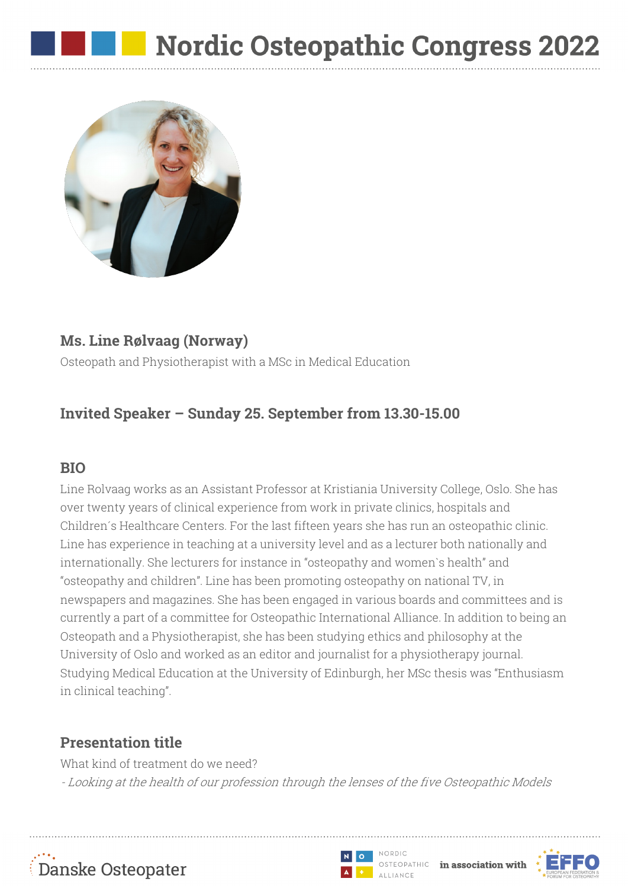

### **Ms. Line Rølvaag (Norway)**

Osteopath and Physiotherapist with a MSc in Medical Education

# **Invited Speaker – Sunday 25. September from 13.30-15.00**

#### **BIO**

Line Rolvaag works as an Assistant Professor at Kristiania University College, Oslo. She has over twenty years of clinical experience from work in private clinics, hospitals and Children´s Healthcare Centers. For the last fifteen years she has run an osteopathic clinic. Line has experience in teaching at a university level and as a lecturer both nationally and internationally. She lecturers for instance in "osteopathy and women`s health" and "osteopathy and children". Line has been promoting osteopathy on national TV, in newspapers and magazines. She has been engaged in various boards and committees and is currently a part of a committee for Osteopathic International Alliance. In addition to being an Osteopath and a Physiotherapist, she has been studying ethics and philosophy at the University of Oslo and worked as an editor and journalist for a physiotherapy journal. Studying Medical Education at the University of Edinburgh, her MSc thesis was "Enthusiasm in clinical teaching".

## **Presentation title**

What kind of treatment do we need? - Looking at the health of our profession through the lenses of the five Osteopathic Models